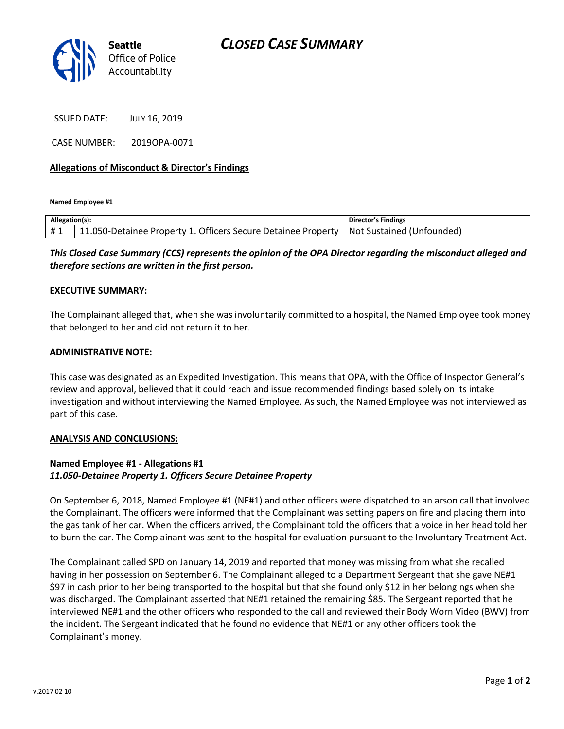

ISSUED DATE: JULY 16, 2019

CASE NUMBER: 2019OPA-0071

### **Allegations of Misconduct & Director's Findings**

**Named Employee #1**

| Allegation(s): |                                                               | Director's Findings       |
|----------------|---------------------------------------------------------------|---------------------------|
| #1             | 11.050-Detainee Property 1. Officers Secure Detainee Property | Not Sustained (Unfounded) |

*This Closed Case Summary (CCS) represents the opinion of the OPA Director regarding the misconduct alleged and therefore sections are written in the first person.* 

#### **EXECUTIVE SUMMARY:**

The Complainant alleged that, when she was involuntarily committed to a hospital, the Named Employee took money that belonged to her and did not return it to her.

#### **ADMINISTRATIVE NOTE:**

This case was designated as an Expedited Investigation. This means that OPA, with the Office of Inspector General's review and approval, believed that it could reach and issue recommended findings based solely on its intake investigation and without interviewing the Named Employee. As such, the Named Employee was not interviewed as part of this case.

#### **ANALYSIS AND CONCLUSIONS:**

## **Named Employee #1 - Allegations #1** *11.050-Detainee Property 1. Officers Secure Detainee Property*

On September 6, 2018, Named Employee #1 (NE#1) and other officers were dispatched to an arson call that involved the Complainant. The officers were informed that the Complainant was setting papers on fire and placing them into the gas tank of her car. When the officers arrived, the Complainant told the officers that a voice in her head told her to burn the car. The Complainant was sent to the hospital for evaluation pursuant to the Involuntary Treatment Act.

The Complainant called SPD on January 14, 2019 and reported that money was missing from what she recalled having in her possession on September 6. The Complainant alleged to a Department Sergeant that she gave NE#1 \$97 in cash prior to her being transported to the hospital but that she found only \$12 in her belongings when she was discharged. The Complainant asserted that NE#1 retained the remaining \$85. The Sergeant reported that he interviewed NE#1 and the other officers who responded to the call and reviewed their Body Worn Video (BWV) from the incident. The Sergeant indicated that he found no evidence that NE#1 or any other officers took the Complainant's money.